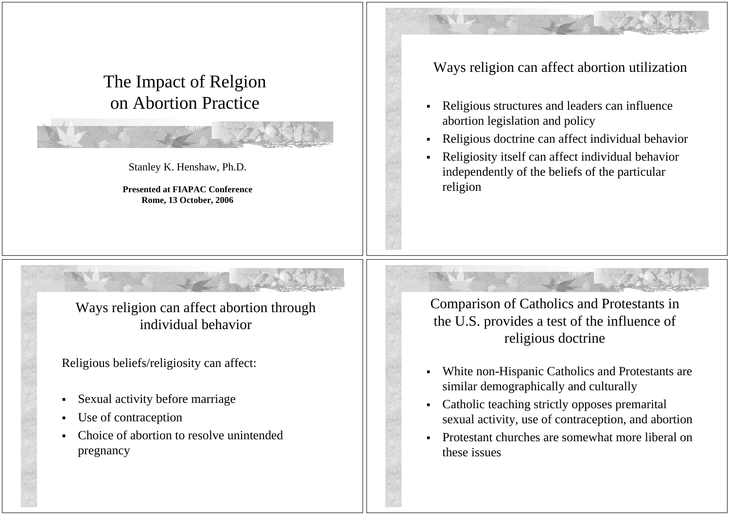## The Impact of Relgion on Abortion Practice

Stanley K. Henshaw, Ph.D.

**Presented at FIAPAC Conference Rome, 13 October, 2006**

## Ways religion can affect abortion utilization

- ш Religious structures and leaders can influence abortion legislation and policy
- Religious doctrine can affect individual behavior
- ш Religiosity itself can affect individual behavior independently of the beliefs of the particular religion

Ways religion can affect abortion through individual behavior

Religious beliefs/religiosity can affect:

- Sexual activity before marriage
- Use of contraception
- Ш Choice of abortion to resolve unintended pregnancy

Comparison of Catholics and Protestants in the U.S. provides a test of the influence of religious doctrine

- White non-Hispanic Catholics and Protestants are similar demographically and culturally
- Catholic teaching strictly opposes premarital sexual activity, use of contraception, and abortion
- Protestant churches are somewhat more liberal on these issues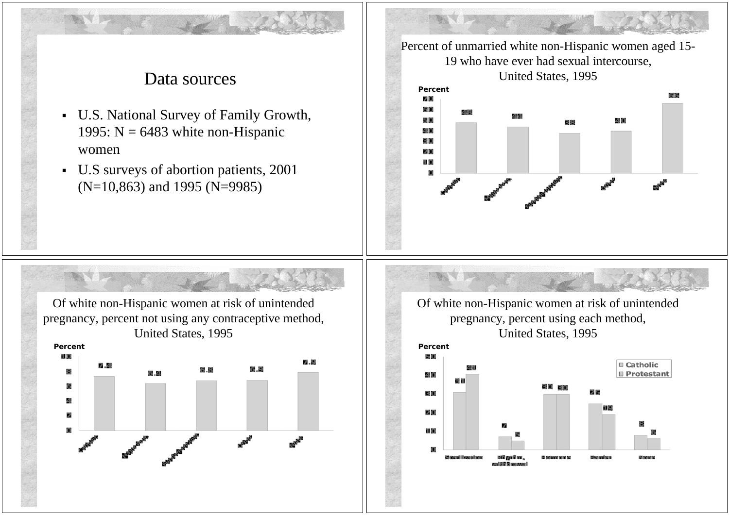## Data sources

- U.S. National Survey of Family Growth, 1995:  $N = 6483$  white non-Hispanic women
- U.S surveys of abortion patients, 2001 (N=10,863) and 1995 (N=9985)

Percent of unmarried white non-Hispanic women aged 15- 19 who have ever had sexual intercourse, United States, 1995 **Percent** 情景 内侧 60 40 40 en 20 11, 10,

Of white non-Hispanic women at risk of unintended pregnancy, percent not using any contraceptive method, United States, 1995 **Percent** 11,00 7.9 6.9 6.B 6.4 4 sentrate exercise exercise exercise

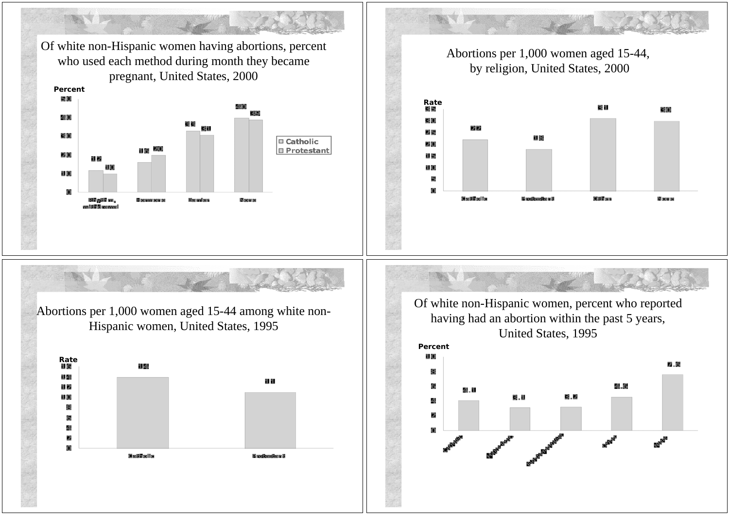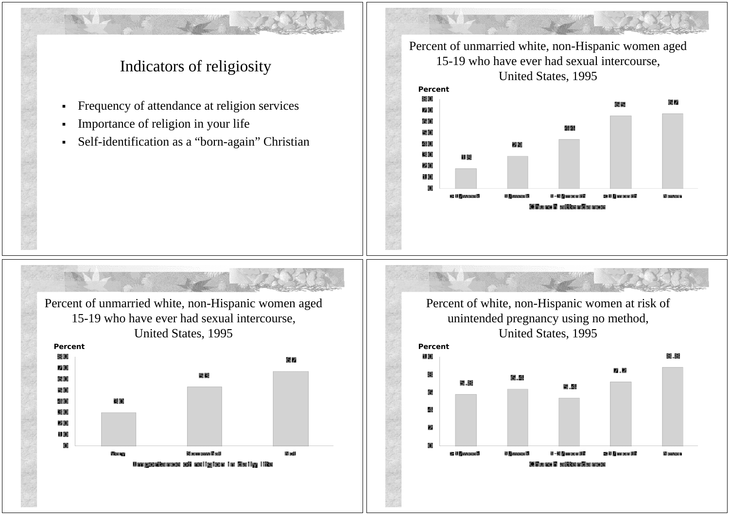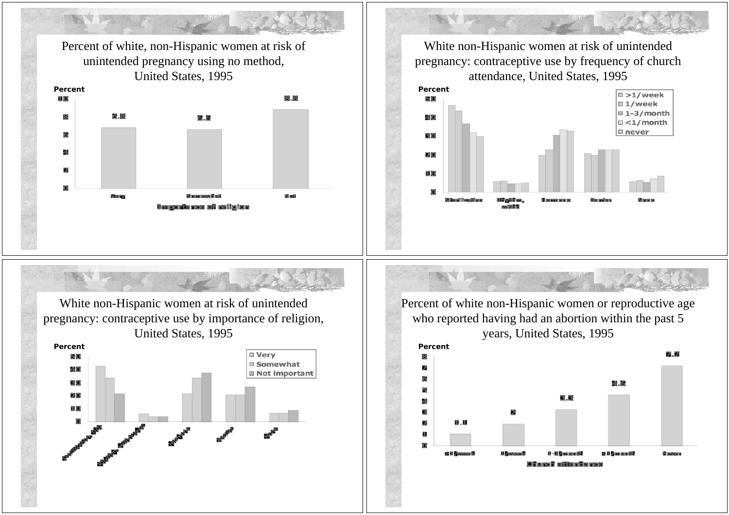Percent of white, non-Hispanic women at risk of White non-Hispanic women at risk of unintended unintended pregnancy using no method, pregnancy: contraceptive use by frequency of church attendance, United States, 1995 United States, 1995 **Percent Percent**  $\sqrt{2}$  >1/week 8.8 11,00 50 □ 1/week  $\Box$  1-3/month 6.8 鼎 間順 40  $\Box$  <1/month  $\square$  never 盾 30 ⊿ 20 11 (0) Very Steam sew Regi **Madi** Blue and now Silveral I feveriting El nomenco nomento Onogazia nes só nsiglano White non-Hispanic women at risk of unintended Percent of white non-Hispanic women or reproductive age pregnancy: contraceptive use by importance of religion, who reported having had an abortion within the past 5 United States, 1995 years, United States, 1995 **Percent Percent**□ Verv 7.2 50 圖 □ Somewhat 40 **Not important** 30 4.6 20 3.8 11,00 il.il il – El Managarit i R ≤ il Zimreontili **Newer** ≥ il *l*'avere l' 10 Marca 10 - eritike miljer proce